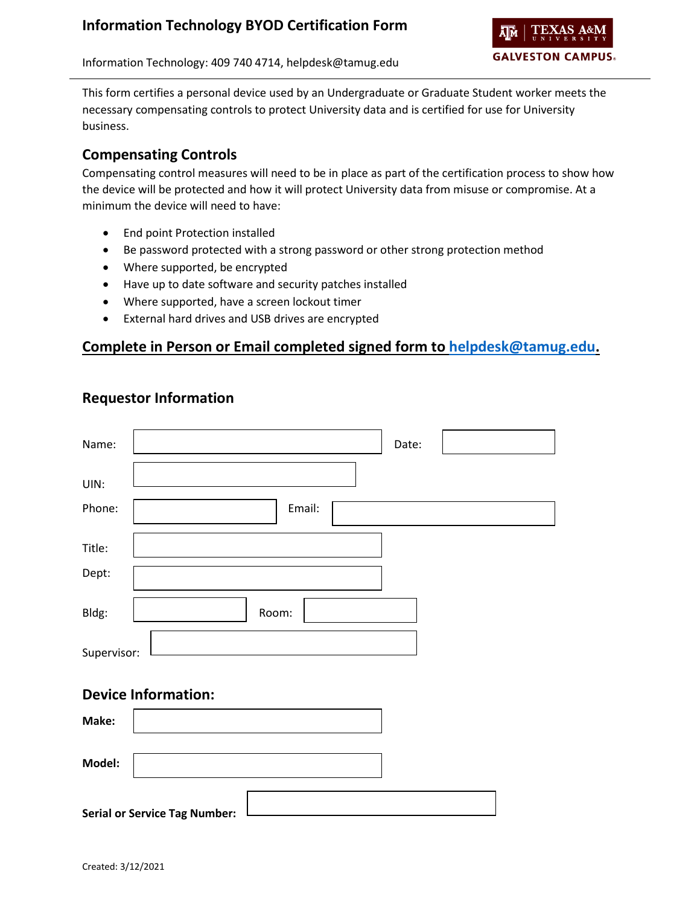

Information Technology: 409 740 4714, helpdesk@tamug.edu

This form certifies a personal device used by an Undergraduate or Graduate Student worker meets the necessary compensating controls to protect University data and is certified for use for University business.

## **Compensating Controls**

Compensating control measures will need to be in place as part of the certification process to show how the device will be protected and how it will protect University data from misuse or compromise. At a minimum the device will need to have:

- End point Protection installed
- Be password protected with a strong password or other strong protection method
- Where supported, be encrypted
- Have up to date software and security patches installed
- Where supported, have a screen lockout timer
- External hard drives and USB drives are encrypted

## **Complete in Person or Email completed signed form to [helpdesk@tamug.edu.](mailto:helpdesk@tamug.edu)**

|  | <b>Requestor Information</b> |
|--|------------------------------|
|--|------------------------------|

| Name:       |        | Date: |  |
|-------------|--------|-------|--|
|             |        |       |  |
| UIN:        |        |       |  |
| Phone:      | Email: |       |  |
|             |        |       |  |
| Title:      |        |       |  |
| Dept:       |        |       |  |
|             |        |       |  |
| Bldg:       | Room:  |       |  |
|             |        |       |  |
| Supervisor: |        |       |  |

#### **Device Information:**

| Make:  |                                      |  |
|--------|--------------------------------------|--|
| Model: |                                      |  |
|        | <b>Serial or Service Tag Number:</b> |  |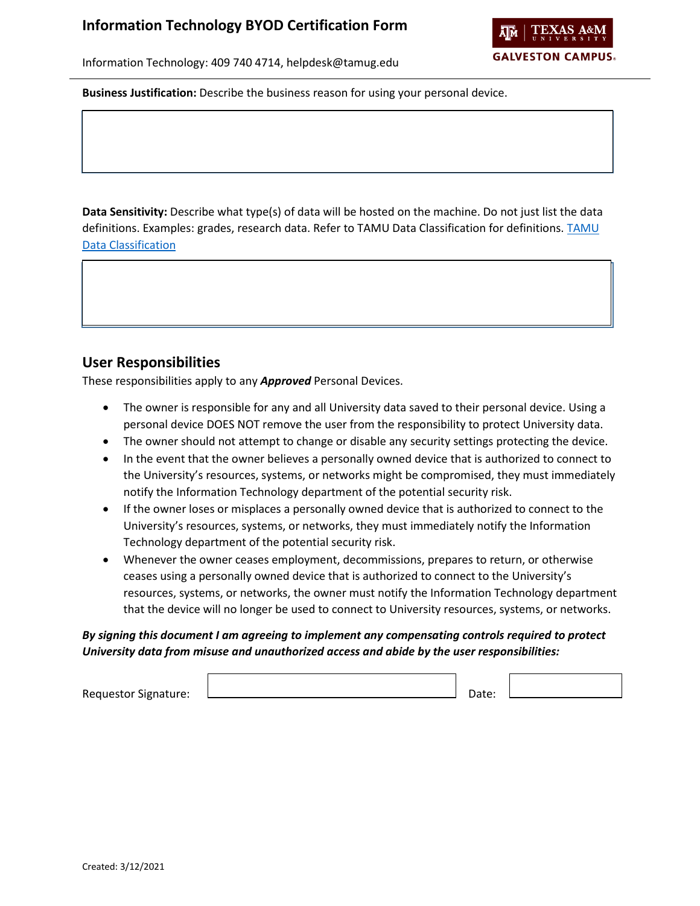ĀМ **GALVESTON CAMPUS.** 

Information Technology: 409 740 4714, helpdesk@tamug.edu

**Business Justification:** Describe the business reason for using your personal device.

**Data Sensitivity:** Describe what type(s) of data will be hosted on the machine. Do not just list the data definitions. Examples: grades, research data. Refer to TAMU Data Classification for definitions. [TAMU](https://it.tamu.edu/policy/it-policy/controls-catalog/standards/data_classification_standard.pdf)  [Data Classification](https://it.tamu.edu/policy/it-policy/controls-catalog/standards/data_classification_standard.pdf)

## **User Responsibilities**

These responsibilities apply to any *Approved* Personal Devices.

- The owner is responsible for any and all University data saved to their personal device. Using a personal device DOES NOT remove the user from the responsibility to protect University data.
- The owner should not attempt to change or disable any security settings protecting the device.
- In the event that the owner believes a personally owned device that is authorized to connect to the University's resources, systems, or networks might be compromised, they must immediately notify the Information Technology department of the potential security risk.
- If the owner loses or misplaces a personally owned device that is authorized to connect to the University's resources, systems, or networks, they must immediately notify the Information Technology department of the potential security risk.
- Whenever the owner ceases employment, decommissions, prepares to return, or otherwise ceases using a personally owned device that is authorized to connect to the University's resources, systems, or networks, the owner must notify the Information Technology department that the device will no longer be used to connect to University resources, systems, or networks.

#### *By signing this document I am agreeing to implement any compensating controls required to protect University data from misuse and unauthorized access and abide by the user responsibilities:*

Requestor Signature:  $\Box$  Date: